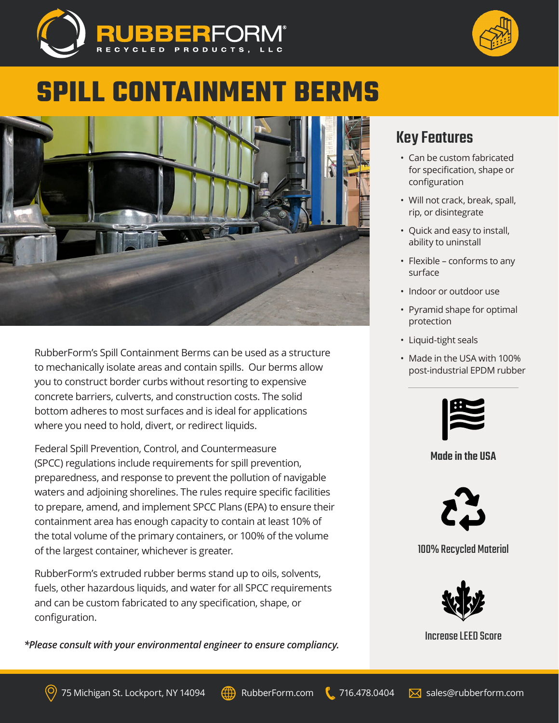



# **SPILL CONTAINMENT BERMS**



RubberForm's Spill Containment Berms can be used as a structure to mechanically isolate areas and contain spills. Our berms allow you to construct border curbs without resorting to expensive concrete barriers, culverts, and construction costs. The solid bottom adheres to most surfaces and is ideal for applications where you need to hold, divert, or redirect liquids.

Federal Spill Prevention, Control, and Countermeasure (SPCC) regulations include requirements for spill prevention, preparedness, and response to prevent the pollution of navigable waters and adjoining shorelines. The rules require specific facilities to prepare, amend, and implement SPCC Plans (EPA) to ensure their containment area has enough capacity to contain at least 10% of the total volume of the primary containers, or 100% of the volume of the largest container, whichever is greater.

RubberForm's extruded rubber berms stand up to oils, solvents, fuels, other hazardous liquids, and water for all SPCC requirements and can be custom fabricated to any specification, shape, or configuration.

*\*Please consult with your environmental engineer to ensure compliancy.*

## Key Features

- Can be custom fabricated for specification, shape or configuration
- Will not crack, break, spall, rip, or disintegrate
- Quick and easy to install, ability to uninstall
- Flexible conforms to any surface
- Indoor or outdoor use
- Pyramid shape for optimal protection
- Liquid-tight seals
- Made in the USA with 100% post-industrial EPDM rubber



#### Made in the USA



### 100% Recycled Material



Increase LEED Score